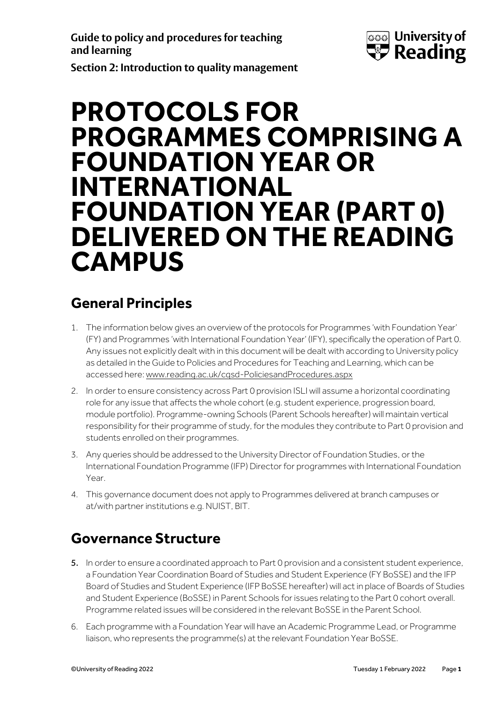**Guide to policy and procedures for teaching and learning**



**Section 2: Introduction to quality management** 

# **PROTOCOLS FOR PROGRAMMES COMPRISING A FOUNDATION YEAR OR INTERNATIONAL FOUNDATION YEAR (PART 0) DELIVERED ON THE READING CAMPUS**

### **General Principles**

- 1. The information below gives an overview of the protocols for Programmes 'with Foundation Year' (FY) and Programmes 'with International Foundation Year' (IFY), specifically the operation of Part 0. Any issues not explicitly dealt with in this document will be dealt with according to University policy as detailed in the Guide to Policies and Procedures for Teaching and Learning, which can be accessed here[: www.reading.ac.uk/cqsd-PoliciesandProcedures.aspx](http://www.reading.ac.uk/cqsd-PoliciesandProcedures.aspx)
- 2. In order to ensure consistency across Part 0 provision ISLI will assume a horizontal coordinating role for any issue that affects the whole cohort (e.g. student experience, progression board, module portfolio). Programme-owning Schools (Parent Schools hereafter) will maintain vertical responsibility for their programme of study, for the modules they contribute to Part 0 provision and students enrolled on their programmes.
- 3. Any queries should be addressed to the University Director of Foundation Studies, or the International Foundation Programme (IFP) Director for programmes with International Foundation Year.
- 4. This governance document does not apply to Programmes delivered at branch campuses or at/with partner institutions e.g. NUIST, BIT.

## **Governance Structure**

- 5. In order to ensure a coordinated approach to Part 0 provision and a consistent student experience, a Foundation Year Coordination Board of Studies and Student Experience (FY BoSSE) and the IFP Board of Studies and Student Experience (IFP BoSSE hereafter) will act in place of Boards of Studies and Student Experience (BoSSE) in Parent Schools for issues relating to the Part 0 cohort overall. Programme related issues will be considered in the relevant BoSSE in the Parent School.
- 6. Each programme with a Foundation Year will have an Academic Programme Lead, or Programme liaison, who represents the programme(s) at the relevant Foundation Year BoSSE.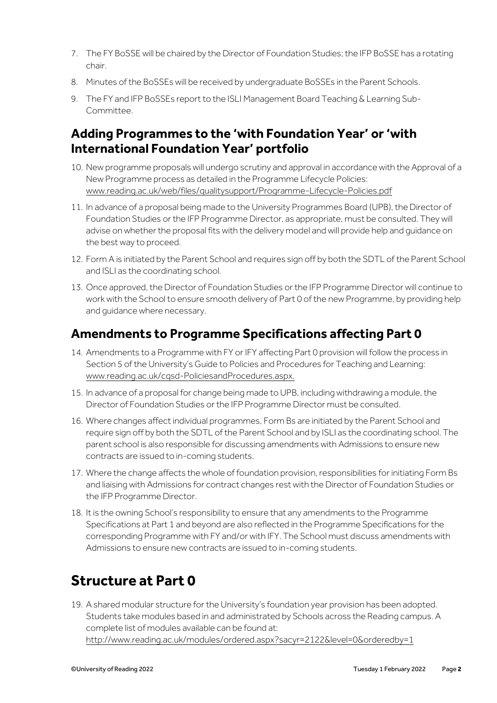- 7. The FY BoSSE will be chaired by the Director of Foundation Studies; the IFP BoSSE has a rotating chair.
- 8. Minutes of the BoSSEs will be received by undergraduate BoSSEs in the Parent Schools.
- 9. The FY and IFP BoSSEs report to the ISLI Management Board Teaching & Learning Sub-Committee.

#### **Adding Programmes to the 'with Foundation Year' or 'with International Foundation Year' portfolio**

- 10. New programme proposals will undergo scrutiny and approval in accordance with the Approval of a New Programme process as detailed in the Programme Lifecycle Policies: [www.reading.ac.uk/web/files/qualitysupport/Programme-Lifecycle-Policies.pdf](http://www.reading.ac.uk/web/files/qualitysupport/Programme-Lifecycle-Policies.pdf)
- 11. In advance of a proposal being made to the University Programmes Board (UPB), the Director of Foundation Studies or the IFP Programme Director, as appropriate, must be consulted. They will advise on whether the proposal fits with the delivery model and will provide help and guidance on the best way to proceed.
- 12. Form A is initiated by the Parent School and requires sign off by both the SDTL of the Parent School and ISLI as the coordinating school.
- 13. Once approved, the Director of Foundation Studies or the IFP Programme Director will continue to work with the School to ensure smooth delivery of Part 0 of the new Programme, by providing help and guidance where necessary.

### **Amendments to Programme Specifications affecting Part 0**

- 14. Amendments to a Programme with FY or IFY affecting Part 0 provision will follow the process in Section 5 of the University's Guide to Policies and Procedures for Teaching and Learning: [www.reading.ac.uk/cqsd-PoliciesandProcedures.aspx.](http://www.reading.ac.uk/cqsd-PoliciesandProcedures.aspx)
- 15. In advance of a proposal for change being made to UPB, including withdrawing a module, the Director of Foundation Studies or the IFP Programme Director must be consulted.
- 16. Where changes affect individual programmes, Form Bs are initiated by the Parent School and require sign off by both the SDTL of the Parent School and by ISLI as the coordinating school. The parent school is also responsible for discussing amendments with Admissions to ensure new contracts are issued to in-coming students.
- 17. Where the change affects the whole of foundation provision, responsibilities for initiating Form Bs and liaising with Admissions for contract changes rest with the Director of Foundation Studies or the IFP Programme Director.
- 18. It is the owning School's responsibility to ensure that any amendments to the Programme Specifications at Part 1 and beyond are also reflected in the Programme Specifications for the corresponding Programme with FY and/or with IFY. The School must discuss amendments with Admissions to ensure new contracts are issued to in-coming students.

### **Structure at Part 0**

19. A shared modular structure for the University's foundation year provision has been adopted. Students take modules based in and administrated by Schools across the Reading campus. A complete list of modules available can be found at: <http://www.reading.ac.uk/modules/ordered.aspx?sacyr=2122&level=0&orderedby=1>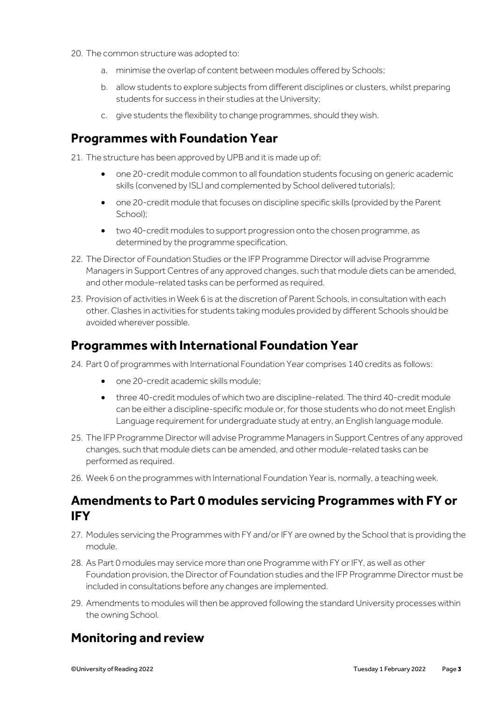- 20. The common structure was adopted to:
	- a. minimise the overlap of content between modules offered by Schools;
	- b. allow students to explore subjects from different disciplines or clusters, whilst preparing students for success in their studies at the University;
	- c. give students the flexibility to change programmes, should they wish.

#### **Programmes with Foundation Year**

21. The structure has been approved by UPB and it is made up of:

- one 20-credit module common to all foundation students focusing on generic academic skills (convened by ISLI and complemented by School delivered tutorials);
- one 20-credit module that focuses on discipline specific skills (provided by the Parent School);
- two 40-credit modules to support progression onto the chosen programme, as determined by the programme specification.
- 22. The Director of Foundation Studies or the IFP Programme Director will advise Programme Managers in Support Centres of any approved changes, such that module diets can be amended, and other module-related tasks can be performed as required.
- 23. Provision of activities in Week 6 is at the discretion of Parent Schools, in consultation with each other. Clashes in activities for students taking modules provided by different Schools should be avoided wherever possible.

#### **Programmes with International Foundation Year**

- 24. Part 0 of programmes with International Foundation Year comprises 140 credits as follows:
	- one 20-credit academic skills module;
	- three 40-credit modules of which two are discipline-related. The third 40-credit module can be either a discipline-specific module or, for those students who do not meet English Language requirement for undergraduate study at entry, an English language module.
- 25. The IFP Programme Director will advise Programme Managers in Support Centres of any approved changes, such that module diets can be amended, and other module-related tasks can be performed as required.
- 26. Week 6 on the programmes with International Foundation Year is, normally, a teaching week.

#### **Amendments to Part 0 modules servicing Programmes with FY or IFY**

- 27. Modules servicing the Programmes with FY and/or IFY are owned by the School that is providing the module.
- 28. As Part 0 modules may service more than one Programme with FY or IFY, as well as other Foundation provision, the Director of Foundation studies and the IFP Programme Director must be included in consultations before any changes are implemented.
- 29. Amendments to modules will then be approved following the standard University processes within the owning School.

### **Monitoring and review**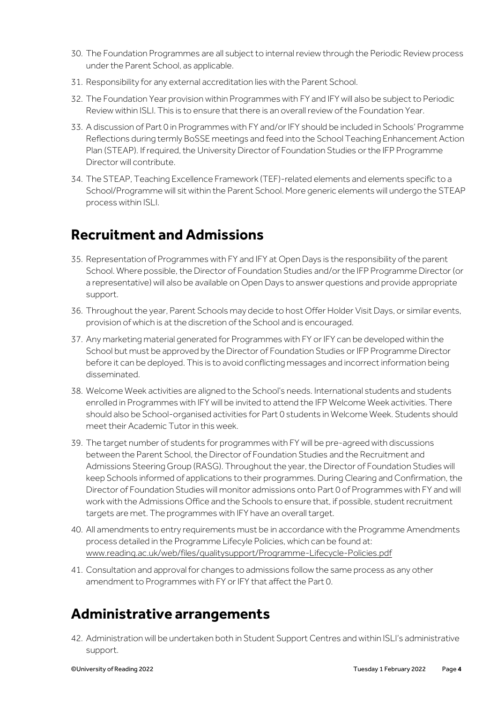- 30. The Foundation Programmes are all subject to internal review through the Periodic Review process under the Parent School, as applicable.
- 31. Responsibility for any external accreditation lies with the Parent School.
- 32. The Foundation Year provision within Programmes with FY and IFY will also be subject to Periodic Review within ISLI. This is to ensure that there is an overall review of the Foundation Year.
- 33. A discussion of Part 0 in Programmes with FY and/or IFY should be included in Schools' Programme Reflections during termly BoSSE meetings and feed into the School Teaching Enhancement Action Plan (STEAP). If required, the University Director of Foundation Studies or the IFP Programme Director will contribute.
- 34. The STEAP, Teaching Excellence Framework (TEF)-related elements and elements specific to a School/Programme will sit within the Parent School. More generic elements will undergo the STEAP process within ISLI.

### **Recruitment and Admissions**

- 35. Representation of Programmes with FY and IFY at Open Days is the responsibility of the parent School. Where possible, the Director of Foundation Studies and/or the IFP Programme Director (or a representative) will also be available on Open Days to answer questions and provide appropriate support.
- 36. Throughout the year, Parent Schools may decide to host Offer Holder Visit Days, or similar events, provision of which is at the discretion of the School and is encouraged.
- 37. Any marketing material generated for Programmes with FY or IFY can be developed within the School but must be approved by the Director of Foundation Studies or IFP Programme Director before it can be deployed. This is to avoid conflicting messages and incorrect information being disseminated.
- 38. Welcome Week activities are aligned to the School's needs. International students and students enrolled in Programmes with IFYwill be invited to attend the IFP Welcome Week activities. There should also be School-organised activities for Part 0 students in Welcome Week. Students should meet their Academic Tutor in this week.
- 39. The target number of students for programmes with FY will be pre-agreed with discussions between the Parent School, the Director of Foundation Studies and the Recruitment and Admissions Steering Group (RASG). Throughout the year, the Director of Foundation Studies will keep Schools informed of applications to their programmes. During Clearing and Confirmation, the Director of Foundation Studies will monitor admissions onto Part 0 of Programmes with FY and will work with the Admissions Office and the Schools to ensure that, if possible, student recruitment targets are met. The programmes with IFY have an overall target.
- 40. All amendments to entry requirements must be in accordance with the Programme Amendments process detailed in the Programme Lifecyle Policies, which can be found at: [www.reading.ac.uk/web/files/qualitysupport/Programme-Lifecycle-Policies.pdf](http://www.reading.ac.uk/web/files/qualitysupport/Programme-Lifecycle-Policies.pdf)
- 41. Consultation and approval for changes to admissions follow the same process as any other amendment to Programmes with FY or IFY that affect the Part 0.

### **Administrative arrangements**

42. Administration will be undertaken both in Student Support Centres and within ISLI's administrative support.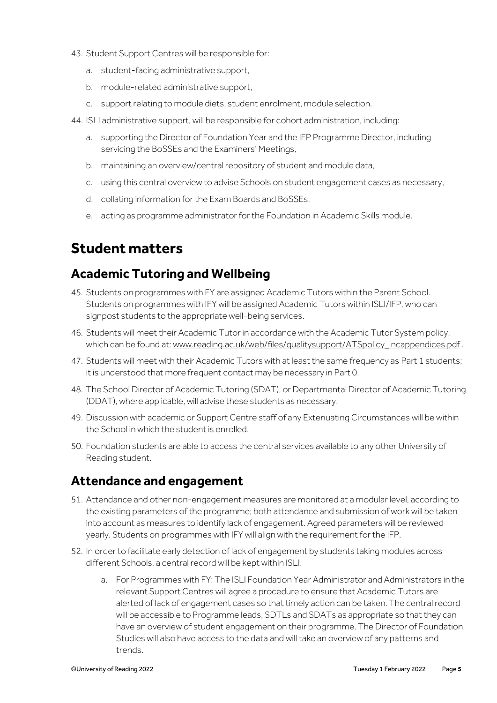- 43. Student Support Centres will be responsible for:
	- a. student-facing administrative support,
	- b. module-related administrative support,
	- c. support relating to module diets, student enrolment, module selection.
- 44. ISLI administrative support, will be responsible for cohort administration, including:
	- a. supporting the Director of Foundation Year and the IFP Programme Director, including servicing the BoSSEs and the Examiners' Meetings,
	- b. maintaining an overview/central repository of student and module data,
	- c. using this central overview to advise Schools on student engagement cases as necessary,
	- d. collating information for the Exam Boards and BoSSEs,
	- e. acting as programme administrator for the Foundation in Academic Skills module.

### **Student matters**

#### **Academic Tutoring and Wellbeing**

- 45. Students on programmes with FY are assigned Academic Tutors within the Parent School. Students on programmes with IFYwill be assigned Academic Tutors within ISLI/IFP, who can signpost students to the appropriate well-being services.
- 46. Students will meet their Academic Tutor in accordance with the Academic Tutor System policy, which can be found at: [www.reading.ac.uk/web/files/qualitysupport/ATSpolicy\\_incappendices.pdf](http://www.reading.ac.uk/web/files/qualitysupport/ATSpolicy_incappendices.pdf).
- 47. Students will meet with their Academic Tutors with at least the same frequency as Part 1 students; it is understood that more frequent contact may be necessary in Part 0.
- 48. The School Director of Academic Tutoring (SDAT), or Departmental Director of Academic Tutoring (DDAT), where applicable, will advise these students as necessary.
- 49. Discussion with academic or Support Centre staff of any Extenuating Circumstances will be within the School in which the student is enrolled.
- 50. Foundation students are able to access the central services available to any other University of Reading student.

#### **Attendance and engagement**

- 51. Attendance and other non-engagement measures are monitored at a modular level, according to the existing parameters of the programme; both attendance and submission of work will be taken into account as measures to identify lack of engagement. Agreed parameters will be reviewed yearly. Students on programmes with IFYwill align with the requirement for the IFP.
- 52. In orderto facilitate early detection of lack of engagement by students taking modules across different Schools, a central record will be kept within ISLI.
	- a. For Programmes with FY: The ISLI Foundation Year Administrator and Administrators in the relevant Support Centres will agree a procedure to ensure that Academic Tutors are alerted of lack of engagement cases so that timely action can be taken. The central record will be accessible to Programme leads, SDTLs and SDATs as appropriate so that they can have an overview of student engagement on their programme. The Director of Foundation Studies will also have access to the data and will take an overview of any patterns and trends.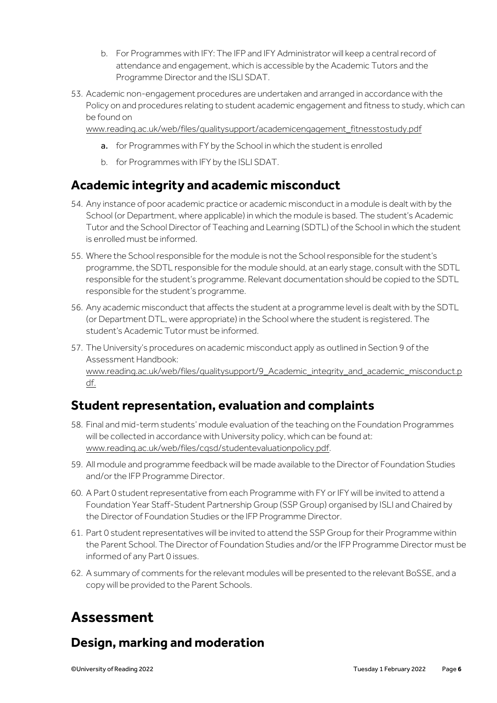- b. For Programmes with IFY: The IFP and IFY Administrator will keep a central record of attendance and engagement, which is accessible by the Academic Tutors and the Programme Director and the ISLI SDAT.
- 53. Academic non-engagement procedures are undertaken and arranged in accordance with the Policy on and procedures relating to student academic engagement and fitness to study, which can be found on

[www.reading.ac.uk/web/files/qualitysupport/academicengagement\\_fitnesstostudy.pdf](http://www.reading.ac.uk/web/files/qualitysupport/academicengagement_fitnesstostudy.pdf)

- a. for Programmes with FY by the School in which the student is enrolled
- b. for Programmes with IFY by the ISLI SDAT.

#### **Academic integrity and academic misconduct**

- 54. Any instance of poor academic practice or academic misconduct in a module is dealt with by the School (or Department, where applicable) in which the module is based. The student's Academic Tutor and the School Director of Teaching and Learning (SDTL) of the School in which the student is enrolled must be informed.
- 55. Where the School responsible for the module is not the School responsible for the student's programme, the SDTL responsible for the module should, at an early stage, consult with the SDTL responsible for the student's programme. Relevant documentation should be copied to the SDTL responsible for the student's programme.
- 56. Any academic misconduct that affects the student at a programme level is dealt with by the SDTL (or Department DTL, were appropriate) in the School where the student is registered. The student's Academic Tutor must be informed.
- 57. The University's procedures on academic misconduct apply as outlined in Section 9 of the Assessment Handbook: [www.reading.ac.uk/web/files/qualitysupport/9\\_Academic\\_integrity\\_and\\_academic\\_misconduct.p](http://www.reading.ac.uk/web/files/qualitysupport/9_Academic_integrity_and_academic_misconduct.pdf) [df.](http://www.reading.ac.uk/web/files/qualitysupport/9_Academic_integrity_and_academic_misconduct.pdf)

### **Student representation, evaluation and complaints**

- 58. Final and mid-term students' module evaluation of the teaching on the Foundation Programmes will be collected in accordance with University policy, which can be found at: [www.reading.ac.uk/web/files/cqsd/studentevaluationpolicy.pdf.](http://www.reading.ac.uk/web/files/cqsd/studentevaluationpolicy.pdf)
- 59. All module and programme feedback will be made available to the Director of Foundation Studies and/or the IFP Programme Director.
- 60. A Part 0 student representative from each Programme with FY or IFY will be invited to attend a Foundation Year Staff-Student Partnership Group (SSP Group) organised by ISLI and Chaired by the Director of Foundation Studies or the IFP Programme Director.
- 61. Part 0 student representatives will be invited to attend the SSP Group for their Programme within the Parent School. The Director of Foundation Studies and/or the IFP Programme Director must be informed of any Part 0 issues.
- 62. A summary of comments for the relevant modules will be presented to the relevant BoSSE, and a copy will be provided to the Parent Schools.

### **Assessment**

### **Design, marking and moderation**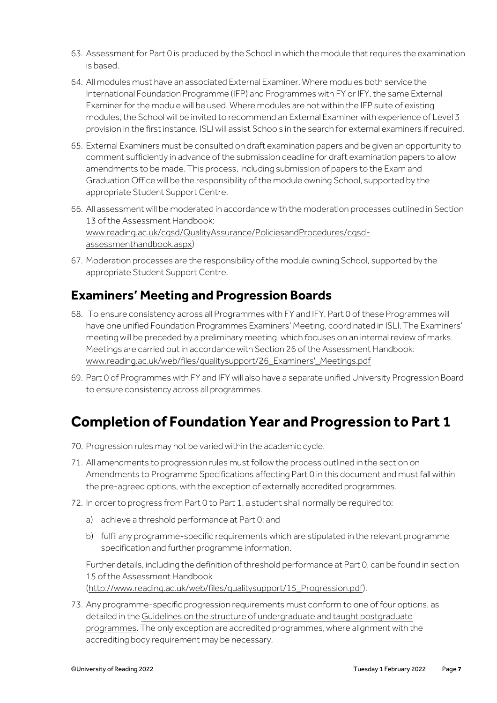- 63. Assessment for Part 0 is produced by the School in which the module that requires the examination is based.
- 64. All modules must have an associated External Examiner. Where modules both service the International Foundation Programme (IFP) and Programmes with FY or IFY, the same External Examiner for the module will be used. Where modules are not within the IFP suite of existing modules, the School will be invited to recommend an External Examiner with experience of Level 3 provision in the first instance. ISLI will assist Schools in the search for external examiners if required.
- 65. External Examiners must be consulted on draft examination papers and be given an opportunity to comment sufficiently in advance of the submission deadline for draft examination papers to allow amendments to be made. This process, including submission of papers to the Exam and Graduation Office will be the responsibility of the module owning School, supported by the appropriate Student Support Centre.
- 66. All assessment will be moderated in accordance with the moderation processes outlined in Section 13 of the Assessment Handbook: [www.reading.ac.uk/cqsd/QualityAssurance/PoliciesandProcedures/cqsd](http://www.reading.ac.uk/cqsd/QualityAssurance/PoliciesandProcedures/cqsd-assessmenthandbook.aspx)[assessmenthandbook.aspx\)](http://www.reading.ac.uk/cqsd/QualityAssurance/PoliciesandProcedures/cqsd-assessmenthandbook.aspx)
- 67. Moderation processes are the responsibility of the module owning School, supported by the appropriate Student Support Centre.

#### **Examiners' Meeting and Progression Boards**

- 68. To ensure consistency across all Programmes with FY and IFY, Part 0 of these Programmes will have one unified Foundation Programmes Examiners' Meeting, coordinated in ISLI. The Examiners' meeting will be preceded by a preliminary meeting, which focuses on an internal review of marks. Meetings are carried out in accordance with Section 26 of the Assessment Handbook: [www.reading.ac.uk/web/files/qualitysupport/26\\_Examiners'\\_Meetings.pdf](http://www.reading.ac.uk/web/files/qualitysupport/26_Examiners)
- 69. Part 0 of Programmes with FY and IFY will also have a separate unified University Progression Board to ensure consistency across all programmes.

### **Completion of Foundation Year and Progression to Part 1**

- 70. Progression rules may not be varied within the academic cycle.
- 71. All amendments to progression rules must follow the process outlined in the section on Amendments to Programme Specifications affecting Part 0 in this document and must fall within the pre-agreed options, with the exception of externally accredited programmes.
- 72. In order to progress from Part 0 to Part 1, a student shall normally be required to:
	- a) achieve a threshold performance at Part 0; and
	- b) fulfil any programme-specific requirements which are stipulated in the relevant programme specification and further programme information.

Further details, including the definition of threshold performance at Part 0, can be found in section 15 of the Assessment Handbook [\(http://www.reading.ac.uk/web/files/qualitysupport/15\\_Progression.pdf\)](http://www.reading.ac.uk/web/files/qualitysupport/15_Progression.pdf).

73. Any programme-specific progression requirements must conform to one of four options, as detailed in th[e Guidelines on the structure of undergraduate and taught postgraduate](http://www.reading.ac.uk/web/files/qualitysupport/programmedesign.pdf)  [programmes.](http://www.reading.ac.uk/web/files/qualitysupport/programmedesign.pdf) The only exception are accredited programmes, where alignment with the accrediting body requirement may be necessary.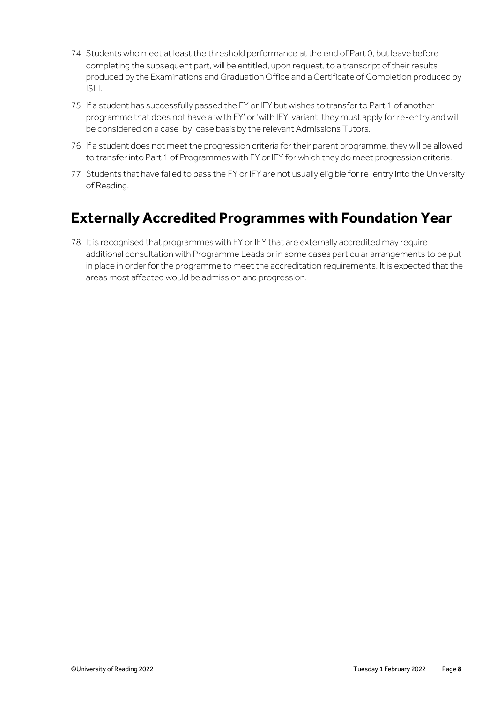- 74. Students who meet at least the threshold performance at the end of Part 0, but leave before completing the subsequent part, will be entitled, upon request, to a transcript of their results produced by the Examinations and Graduation Office and a Certificate of Completion produced by ISLI.
- 75. If a student has successfully passed the FY or IFY but wishes to transfer to Part 1 of another programme that does not have a 'with FY' or 'with IFY' variant, they must apply for re-entry and will be considered on a case-by-case basis by the relevant Admissions Tutors.
- 76. If a student does not meet the progression criteria for their parent programme, they will be allowed to transfer into Part 1 of Programmes with FY or IFY for which they do meet progression criteria.
- 77. Students that have failed to pass the FY or IFY are not usually eligible for re-entry into the University of Reading.

### **Externally Accredited Programmes with Foundation Year**

78. It is recognised that programmes with FY or IFY that are externally accredited may require additional consultation with Programme Leads or in some cases particular arrangements to be put in place in order for the programme to meet the accreditation requirements. It is expected that the areas most affected would be admission and progression.